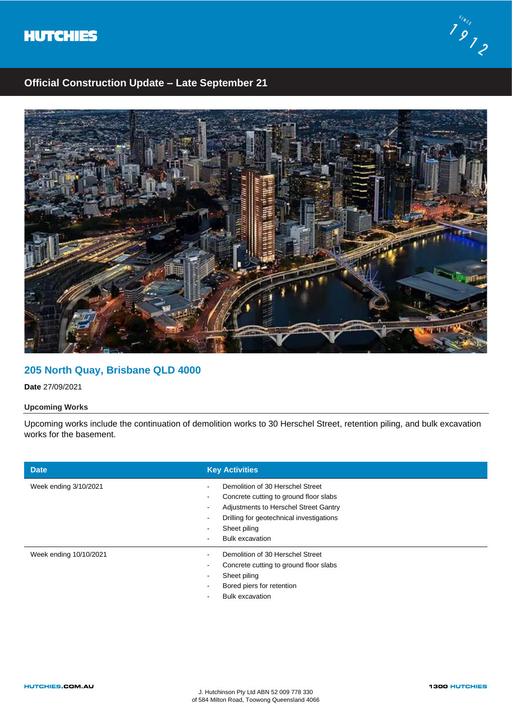



## **Official Construction Update – Late September 21**



### **205 North Quay, Brisbane QLD 4000**

**Date** 27/09/2021

### **Upcoming Works**

Upcoming works include the continuation of demolition works to 30 Herschel Street, retention piling, and bulk excavation works for the basement.

| <b>Date</b>            | <b>Key Activities</b>                                                                                                                                                                                                                                                               |
|------------------------|-------------------------------------------------------------------------------------------------------------------------------------------------------------------------------------------------------------------------------------------------------------------------------------|
| Week ending 3/10/2021  | Demolition of 30 Herschel Street<br>$\overline{\phantom{a}}$<br>Concrete cutting to ground floor slabs<br>$\overline{\phantom{a}}$<br>Adjustments to Herschel Street Gantry<br>Drilling for geotechnical investigations<br>Sheet piling<br><b>Bulk excavation</b><br>$\blacksquare$ |
| Week ending 10/10/2021 | Demolition of 30 Herschel Street<br>Concrete cutting to ground floor slabs<br>$\overline{\phantom{a}}$<br>Sheet piling<br>$\overline{\phantom{a}}$<br>Bored piers for retention<br><b>Bulk excavation</b>                                                                           |